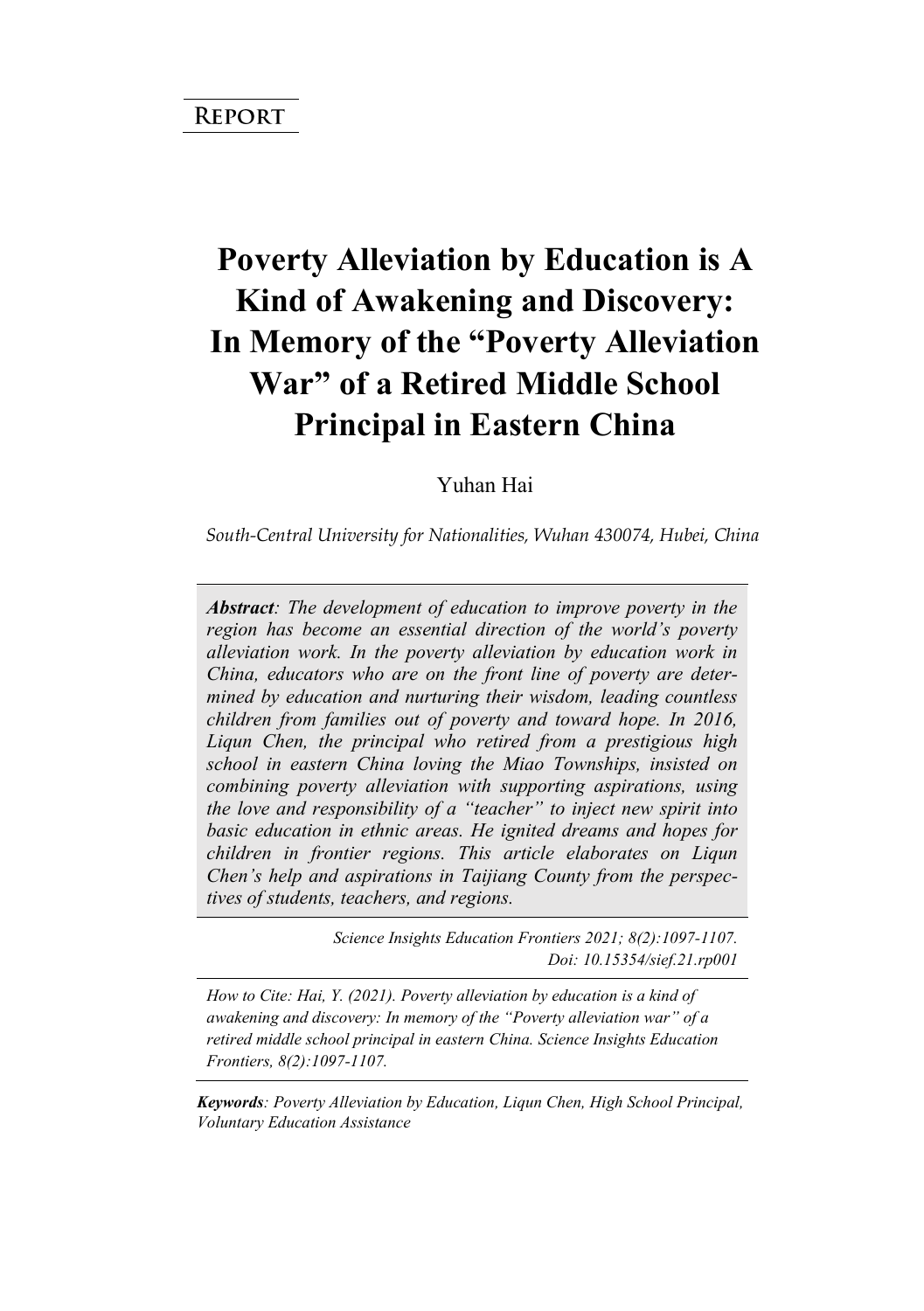# **Poverty Alleviation by Education is A Kind of Awakening and Discovery: In Memory of the "Poverty Alleviation War" of a Retired Middle School Principal in Eastern China**

Yuhan Hai

*South-Central University for Nationalities, Wuhan 430074, Hubei, China* 

*Abstract: The development of education to improve poverty in the region has become an essential direction of the world's poverty alleviation work. In the poverty alleviation by education work in China, educators who are on the front line of poverty are determined by education and nurturing their wisdom, leading countless children from families out of poverty and toward hope. In 2016, Liqun Chen, the principal who retired from a prestigious high school in eastern China loving the Miao Townships, insisted on combining poverty alleviation with supporting aspirations, using the love and responsibility of a "teacher" to inject new spirit into basic education in ethnic areas. He ignited dreams and hopes for children in frontier regions. This article elaborates on Liqun Chen's help and aspirations in Taijiang County from the perspectives of students, teachers, and regions.*

> *Science Insights Education Frontiers 2021; 8(2):1097-1107. Doi: 10.15354/sief.21.rp001*

*How to Cite: Hai, Y. (2021). Poverty alleviation by education is a kind of awakening and discovery: In memory of the "Poverty alleviation war" of a retired middle school principal in eastern China. Science Insights Education Frontiers, 8(2):1097-1107.*

*Keywords: Poverty Alleviation by Education, Liqun Chen, High School Principal, Voluntary Education Assistance*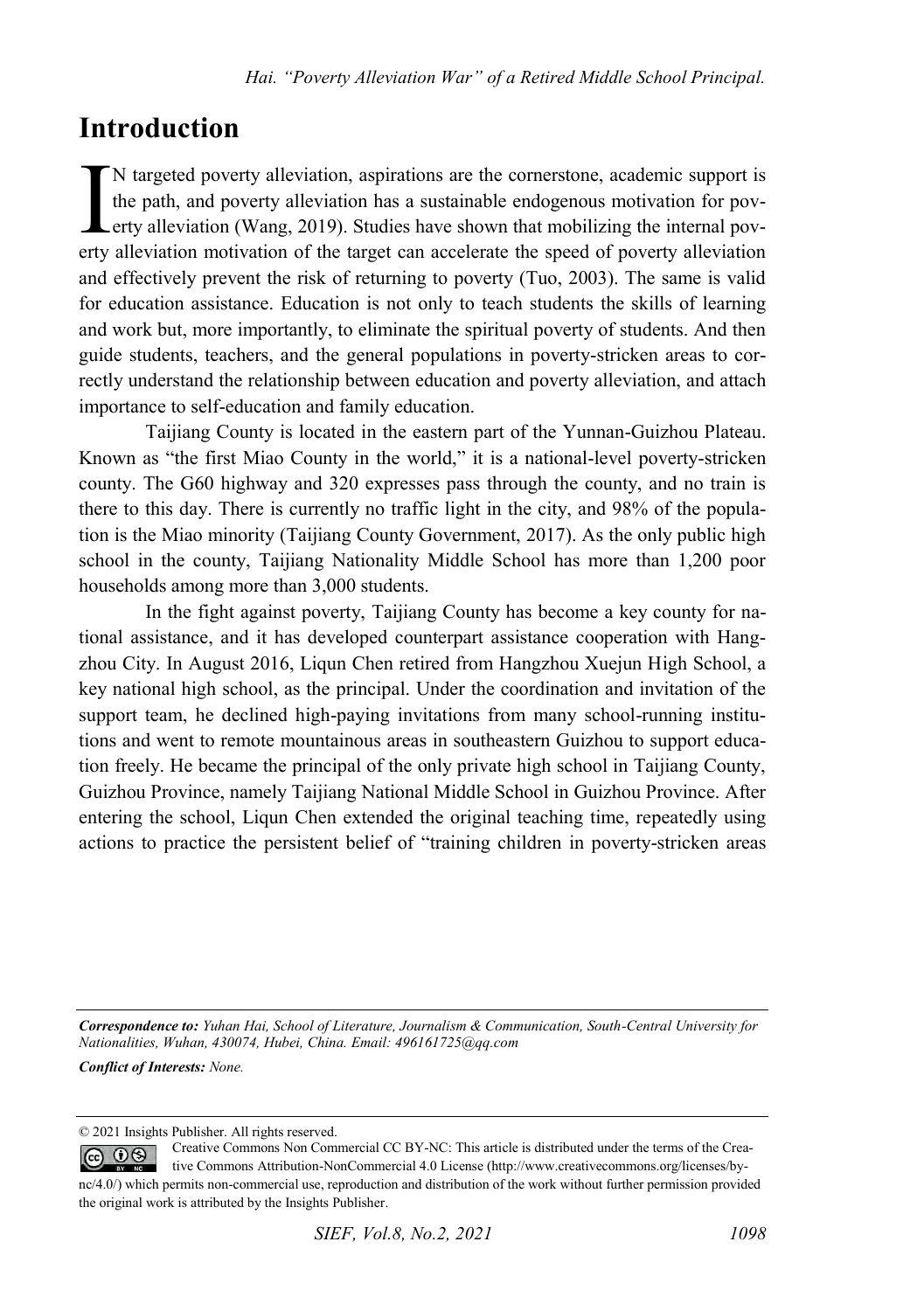#### **Introduction**

N targeted poverty alleviation, aspirations are the cornerstone, academic support is the path, and poverty alleviation has a sustainable endogenous motivation for pov-Lerty alleviation (Wang, 2019). Studies have shown that mobilizing the internal pov-N targeted poverty alleviation, aspirations are the cornerstone, academic support is the path, and poverty alleviation has a sustainable endogenous motivation for poverty alleviation (Wang, 2019). Studies have shown that m and effectively prevent the risk of returning to poverty (Tuo, 2003). The same is valid for education assistance. Education is not only to teach students the skills of learning and work but, more importantly, to eliminate the spiritual poverty of students. And then guide students, teachers, and the general populations in poverty-stricken areas to correctly understand the relationship between education and poverty alleviation, and attach importance to self-education and family education.

Taijiang County is located in the eastern part of the Yunnan-Guizhou Plateau. Known as "the first Miao County in the world," it is a national-level poverty-stricken county. The G60 highway and 320 expresses pass through the county, and no train is there to this day. There is currently no traffic light in the city, and 98% of the population is the Miao minority (Taijiang County Government, 2017). As the only public high school in the county, Taijiang Nationality Middle School has more than 1,200 poor households among more than 3,000 students.

In the fight against poverty, Taijiang County has become a key county for national assistance, and it has developed counterpart assistance cooperation with Hangzhou City. In August 2016, Liqun Chen retired from Hangzhou Xuejun High School, a key national high school, as the principal. Under the coordination and invitation of the support team, he declined high-paying invitations from many school-running institutions and went to remote mountainous areas in southeastern Guizhou to support education freely. He became the principal of the only private high school in Taijiang County, Guizhou Province, namely Taijiang National Middle School in Guizhou Province. After entering the school, Liqun Chen extended the original teaching time, repeatedly using actions to practice the persistent belief of "training children in poverty-stricken areas

*Correspondence to: Yuhan Hai, School of Literature, Journalism & Communication, South-Central University for Nationalities, Wuhan, 430074, Hubei, China. Email: 496161725@qq.com Conflict of Interests: None.*

<sup>© 2021</sup> Insights Publisher. All rights reserved.

Creative Commons Non Commercial CC BY-NC: This article is distributed under the terms of the Crea- $\circledcirc$   $\circledcirc$ tive Commons Attribution-NonCommercial 4.0 License (http://www.creativecommons.org/licenses/bync/4.0/) which permits non-commercial use, reproduction and distribution of the work without further permission provided the original work is attributed by the Insights Publisher.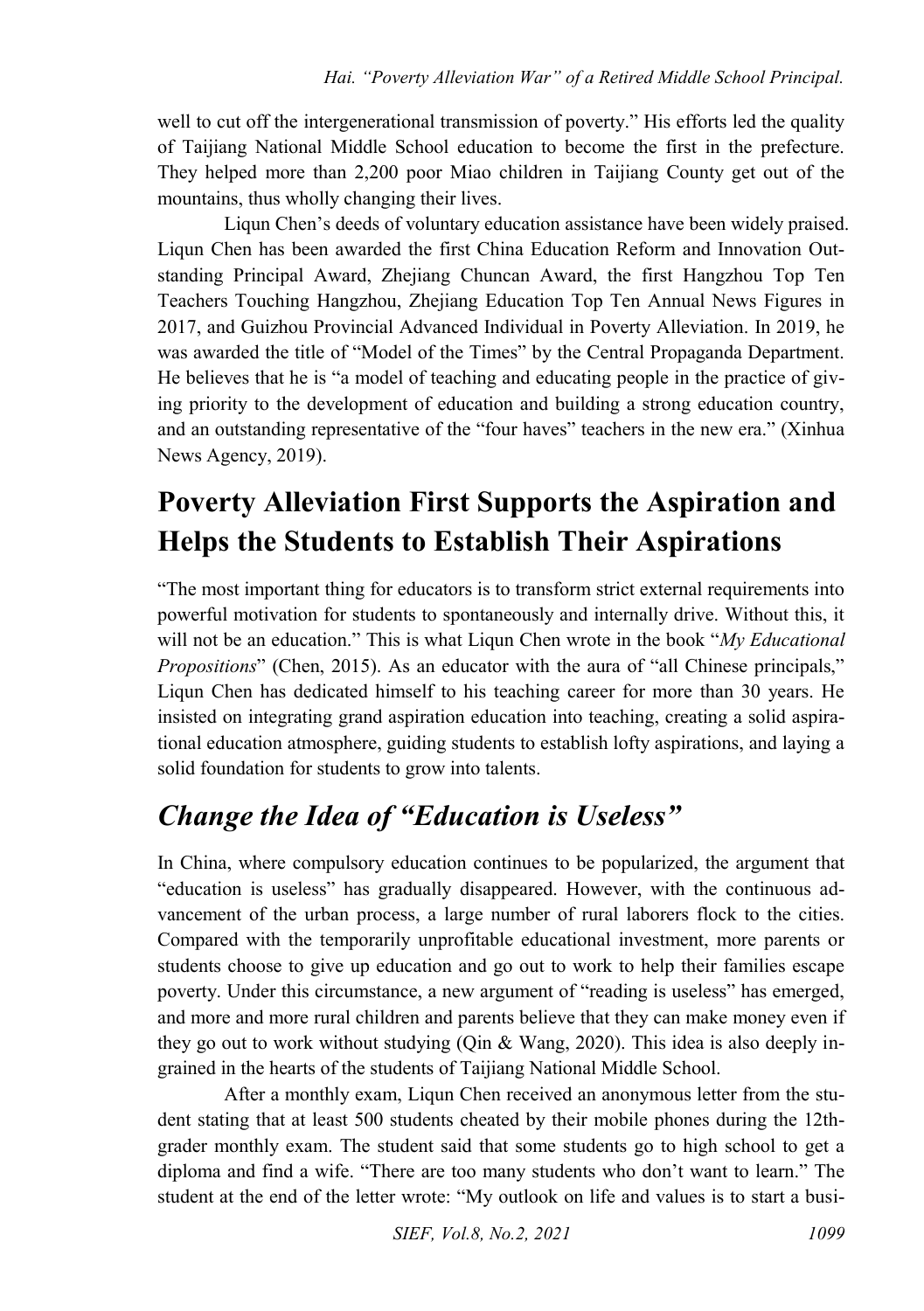well to cut off the intergenerational transmission of poverty." His efforts led the quality of Taijiang National Middle School education to become the first in the prefecture. They helped more than 2,200 poor Miao children in Taijiang County get out of the mountains, thus wholly changing their lives.

Liqun Chen's deeds of voluntary education assistance have been widely praised. Liqun Chen has been awarded the first China Education Reform and Innovation Outstanding Principal Award, Zhejiang Chuncan Award, the first Hangzhou Top Ten Teachers Touching Hangzhou, Zhejiang Education Top Ten Annual News Figures in 2017, and Guizhou Provincial Advanced Individual in Poverty Alleviation. In 2019, he was awarded the title of "Model of the Times" by the Central Propaganda Department. He believes that he is "a model of teaching and educating people in the practice of giving priority to the development of education and building a strong education country, and an outstanding representative of the "four haves" teachers in the new era." (Xinhua News Agency, 2019).

## **Poverty Alleviation First Supports the Aspiration and Helps the Students to Establish Their Aspirations**

"The most important thing for educators is to transform strict external requirements into powerful motivation for students to spontaneously and internally drive. Without this, it will not be an education." This is what Liqun Chen wrote in the book "*My Educational Propositions*" (Chen, 2015). As an educator with the aura of "all Chinese principals," Liqun Chen has dedicated himself to his teaching career for more than 30 years. He insisted on integrating grand aspiration education into teaching, creating a solid aspirational education atmosphere, guiding students to establish lofty aspirations, and laying a solid foundation for students to grow into talents.

### *Change the Idea of "Education is Useless"*

In China, where compulsory education continues to be popularized, the argument that "education is useless" has gradually disappeared. However, with the continuous advancement of the urban process, a large number of rural laborers flock to the cities. Compared with the temporarily unprofitable educational investment, more parents or students choose to give up education and go out to work to help their families escape poverty. Under this circumstance, a new argument of "reading is useless" has emerged, and more and more rural children and parents believe that they can make money even if they go out to work without studying (Qin & Wang, 2020). This idea is also deeply ingrained in the hearts of the students of Taijiang National Middle School.

After a monthly exam, Liqun Chen received an anonymous letter from the student stating that at least 500 students cheated by their mobile phones during the 12thgrader monthly exam. The student said that some students go to high school to get a diploma and find a wife. "There are too many students who don't want to learn." The student at the end of the letter wrote: "My outlook on life and values is to start a busi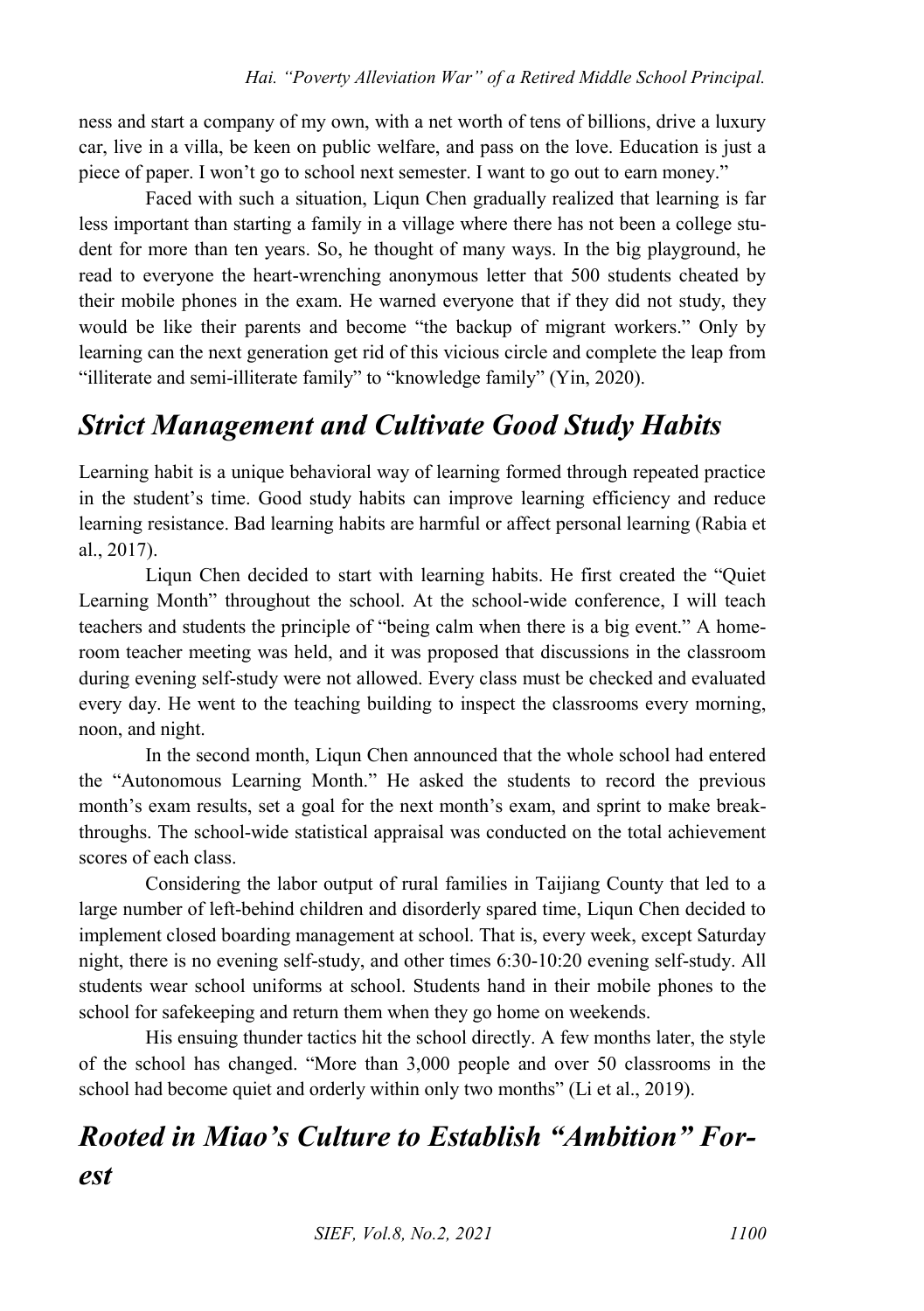ness and start a company of my own, with a net worth of tens of billions, drive a luxury car, live in a villa, be keen on public welfare, and pass on the love. Education is just a piece of paper. I won't go to school next semester. I want to go out to earn money."

Faced with such a situation, Liqun Chen gradually realized that learning is far less important than starting a family in a village where there has not been a college student for more than ten years. So, he thought of many ways. In the big playground, he read to everyone the heart-wrenching anonymous letter that 500 students cheated by their mobile phones in the exam. He warned everyone that if they did not study, they would be like their parents and become "the backup of migrant workers." Only by learning can the next generation get rid of this vicious circle and complete the leap from "illiterate and semi-illiterate family" to "knowledge family" (Yin, 2020).

#### *Strict Management and Cultivate Good Study Habits*

Learning habit is a unique behavioral way of learning formed through repeated practice in the student's time. Good study habits can improve learning efficiency and reduce learning resistance. Bad learning habits are harmful or affect personal learning (Rabia et al., 2017).

Liqun Chen decided to start with learning habits. He first created the "Quiet Learning Month" throughout the school. At the school-wide conference, I will teach teachers and students the principle of "being calm when there is a big event." A homeroom teacher meeting was held, and it was proposed that discussions in the classroom during evening self-study were not allowed. Every class must be checked and evaluated every day. He went to the teaching building to inspect the classrooms every morning, noon, and night.

In the second month, Liqun Chen announced that the whole school had entered the "Autonomous Learning Month." He asked the students to record the previous month's exam results, set a goal for the next month's exam, and sprint to make breakthroughs. The school-wide statistical appraisal was conducted on the total achievement scores of each class.

Considering the labor output of rural families in Taijiang County that led to a large number of left-behind children and disorderly spared time, Liqun Chen decided to implement closed boarding management at school. That is, every week, except Saturday night, there is no evening self-study, and other times 6:30-10:20 evening self-study. All students wear school uniforms at school. Students hand in their mobile phones to the school for safekeeping and return them when they go home on weekends.

His ensuing thunder tactics hit the school directly. A few months later, the style of the school has changed. "More than 3,000 people and over 50 classrooms in the school had become quiet and orderly within only two months" (Li et al., 2019).

## *Rooted in Miao's Culture to Establish "Ambition" Forest*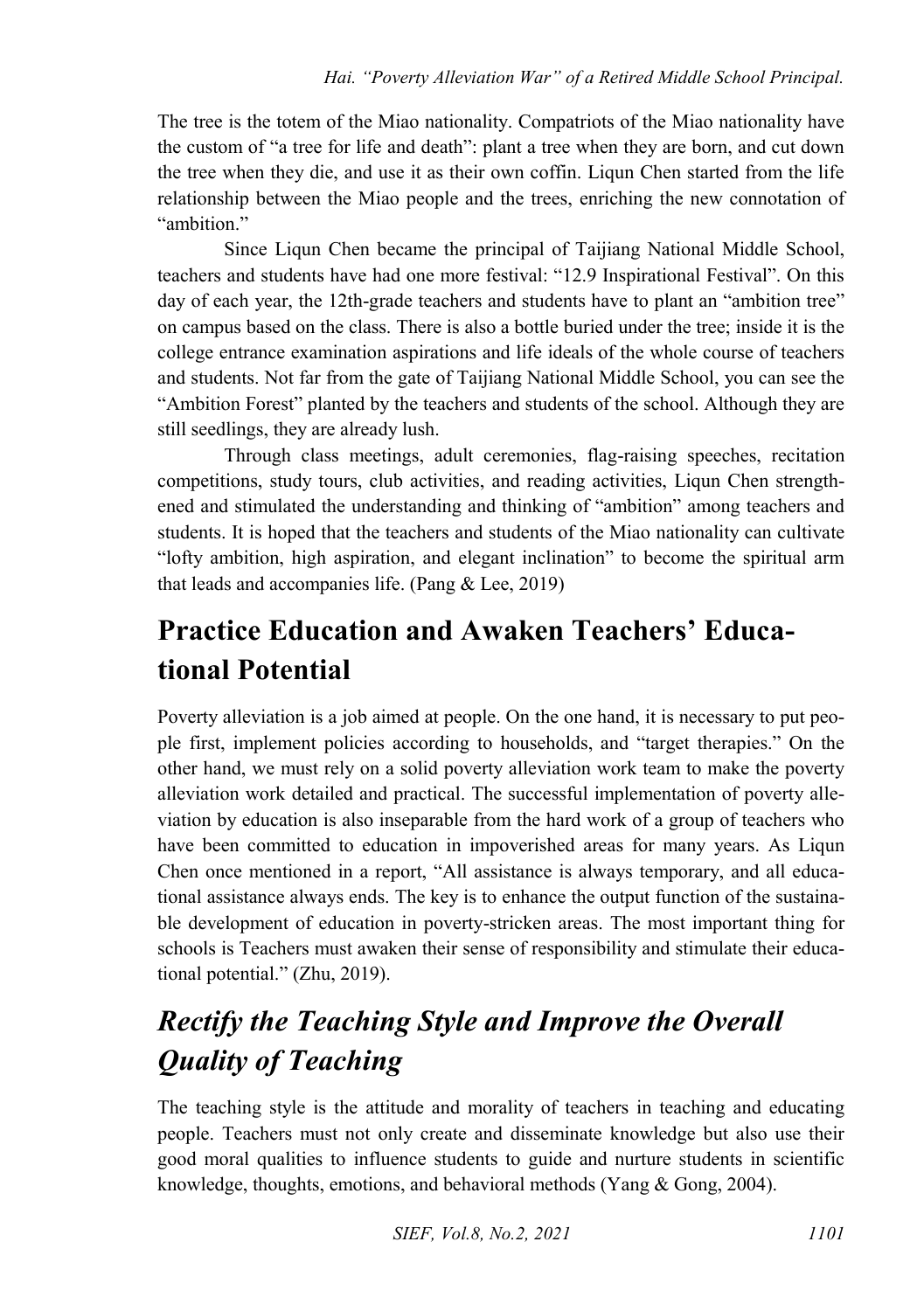The tree is the totem of the Miao nationality. Compatriots of the Miao nationality have the custom of "a tree for life and death": plant a tree when they are born, and cut down the tree when they die, and use it as their own coffin. Liqun Chen started from the life relationship between the Miao people and the trees, enriching the new connotation of "ambition"

Since Liqun Chen became the principal of Taijiang National Middle School, teachers and students have had one more festival: "12.9 Inspirational Festival". On this day of each year, the 12th-grade teachers and students have to plant an "ambition tree" on campus based on the class. There is also a bottle buried under the tree; inside it is the college entrance examination aspirations and life ideals of the whole course of teachers and students. Not far from the gate of Taijiang National Middle School, you can see the "Ambition Forest" planted by the teachers and students of the school. Although they are still seedlings, they are already lush.

Through class meetings, adult ceremonies, flag-raising speeches, recitation competitions, study tours, club activities, and reading activities, Liqun Chen strengthened and stimulated the understanding and thinking of "ambition" among teachers and students. It is hoped that the teachers and students of the Miao nationality can cultivate "lofty ambition, high aspiration, and elegant inclination" to become the spiritual arm that leads and accompanies life. (Pang & Lee, 2019)

### **Practice Education and Awaken Teachers' Educational Potential**

Poverty alleviation is a job aimed at people. On the one hand, it is necessary to put people first, implement policies according to households, and "target therapies." On the other hand, we must rely on a solid poverty alleviation work team to make the poverty alleviation work detailed and practical. The successful implementation of poverty alleviation by education is also inseparable from the hard work of a group of teachers who have been committed to education in impoverished areas for many years. As Liqun Chen once mentioned in a report, "All assistance is always temporary, and all educational assistance always ends. The key is to enhance the output function of the sustainable development of education in poverty-stricken areas. The most important thing for schools is Teachers must awaken their sense of responsibility and stimulate their educational potential." (Zhu, 2019).

## *Rectify the Teaching Style and Improve the Overall Quality of Teaching*

The teaching style is the attitude and morality of teachers in teaching and educating people. Teachers must not only create and disseminate knowledge but also use their good moral qualities to influence students to guide and nurture students in scientific knowledge, thoughts, emotions, and behavioral methods (Yang & Gong, 2004).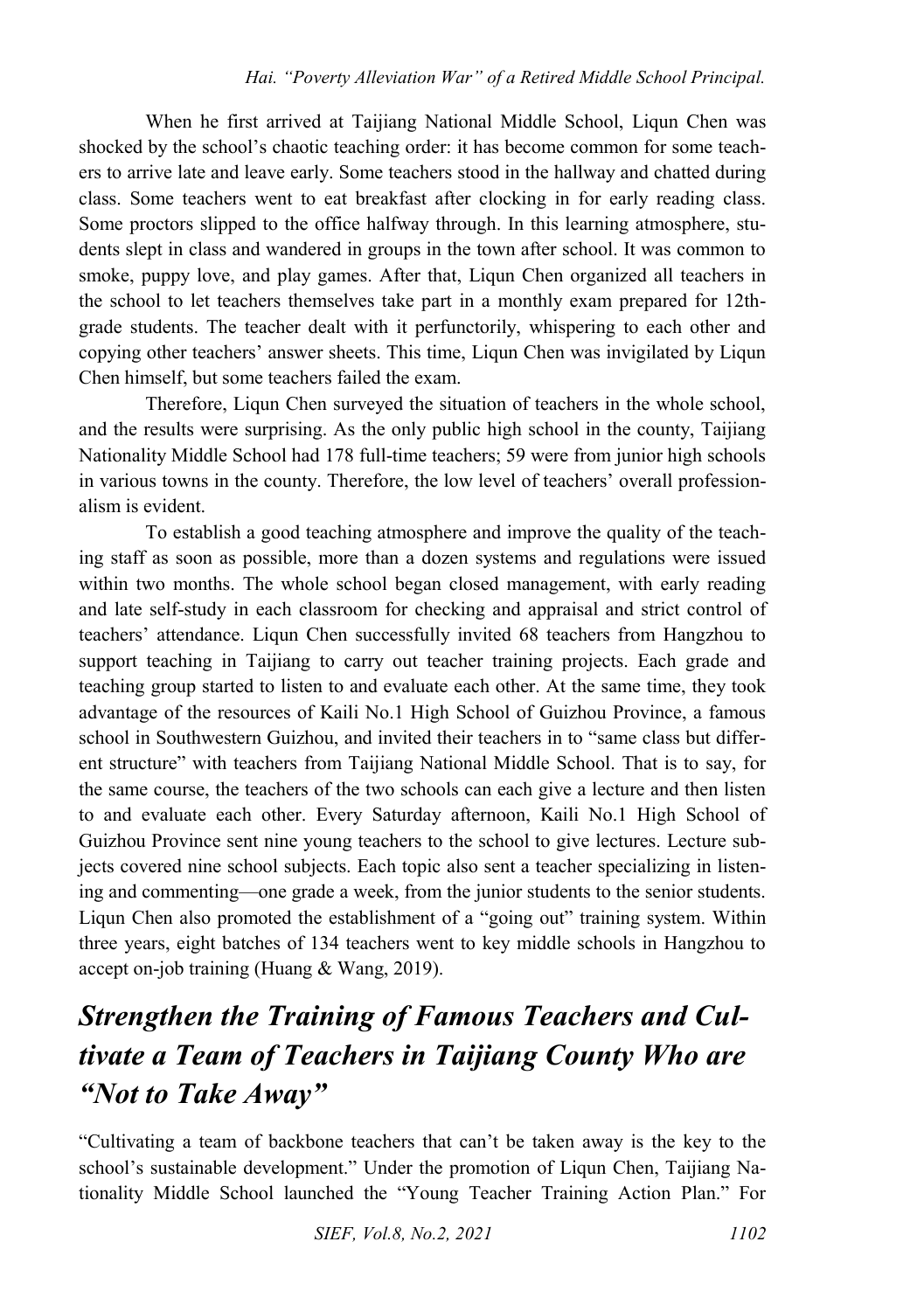When he first arrived at Taijiang National Middle School, Liqun Chen was shocked by the school's chaotic teaching order: it has become common for some teachers to arrive late and leave early. Some teachers stood in the hallway and chatted during class. Some teachers went to eat breakfast after clocking in for early reading class. Some proctors slipped to the office halfway through. In this learning atmosphere, students slept in class and wandered in groups in the town after school. It was common to smoke, puppy love, and play games. After that, Liqun Chen organized all teachers in the school to let teachers themselves take part in a monthly exam prepared for 12thgrade students. The teacher dealt with it perfunctorily, whispering to each other and copying other teachers' answer sheets. This time, Liqun Chen was invigilated by Liqun Chen himself, but some teachers failed the exam.

Therefore, Liqun Chen surveyed the situation of teachers in the whole school, and the results were surprising. As the only public high school in the county, Taijiang Nationality Middle School had 178 full-time teachers; 59 were from junior high schools in various towns in the county. Therefore, the low level of teachers' overall professionalism is evident.

To establish a good teaching atmosphere and improve the quality of the teaching staff as soon as possible, more than a dozen systems and regulations were issued within two months. The whole school began closed management, with early reading and late self-study in each classroom for checking and appraisal and strict control of teachers' attendance. Liqun Chen successfully invited 68 teachers from Hangzhou to support teaching in Taijiang to carry out teacher training projects. Each grade and teaching group started to listen to and evaluate each other. At the same time, they took advantage of the resources of Kaili No.1 High School of Guizhou Province, a famous school in Southwestern Guizhou, and invited their teachers in to "same class but different structure" with teachers from Taijiang National Middle School. That is to say, for the same course, the teachers of the two schools can each give a lecture and then listen to and evaluate each other. Every Saturday afternoon, Kaili No.1 High School of Guizhou Province sent nine young teachers to the school to give lectures. Lecture subjects covered nine school subjects. Each topic also sent a teacher specializing in listening and commenting—one grade a week, from the junior students to the senior students. Liqun Chen also promoted the establishment of a "going out" training system. Within three years, eight batches of 134 teachers went to key middle schools in Hangzhou to accept on-job training (Huang & Wang, 2019).

## *Strengthen the Training of Famous Teachers and Cultivate a Team of Teachers in Taijiang County Who are "Not to Take Away"*

"Cultivating a team of backbone teachers that can't be taken away is the key to the school's sustainable development." Under the promotion of Liqun Chen, Taijiang Nationality Middle School launched the "Young Teacher Training Action Plan." For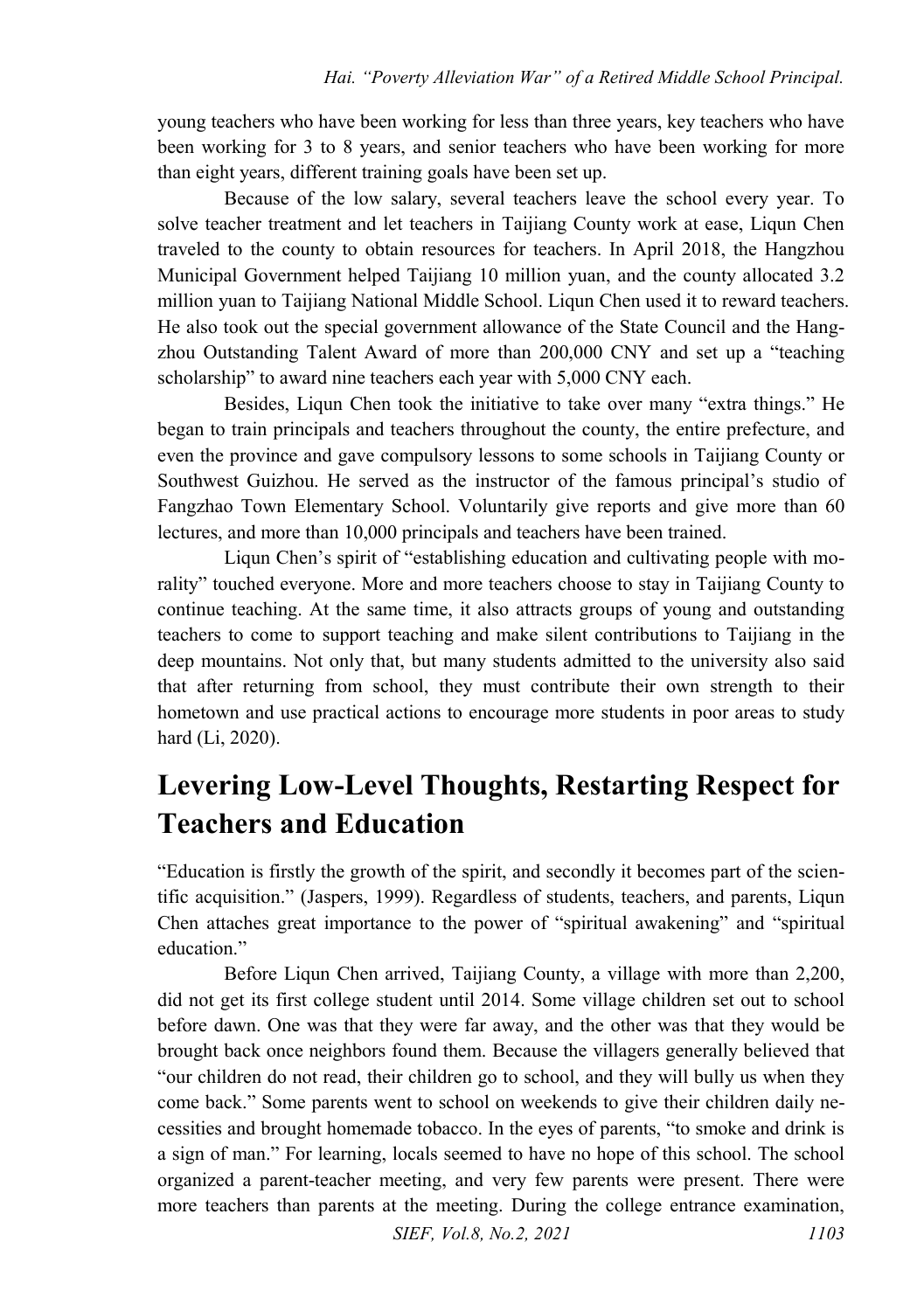young teachers who have been working for less than three years, key teachers who have been working for 3 to 8 years, and senior teachers who have been working for more than eight years, different training goals have been set up.

Because of the low salary, several teachers leave the school every year. To solve teacher treatment and let teachers in Taijiang County work at ease, Liqun Chen traveled to the county to obtain resources for teachers. In April 2018, the Hangzhou Municipal Government helped Taijiang 10 million yuan, and the county allocated 3.2 million yuan to Taijiang National Middle School. Liqun Chen used it to reward teachers. He also took out the special government allowance of the State Council and the Hangzhou Outstanding Talent Award of more than 200,000 CNY and set up a "teaching scholarship" to award nine teachers each year with 5,000 CNY each.

Besides, Liqun Chen took the initiative to take over many "extra things." He began to train principals and teachers throughout the county, the entire prefecture, and even the province and gave compulsory lessons to some schools in Taijiang County or Southwest Guizhou. He served as the instructor of the famous principal's studio of Fangzhao Town Elementary School. Voluntarily give reports and give more than 60 lectures, and more than 10,000 principals and teachers have been trained.

Liqun Chen's spirit of "establishing education and cultivating people with morality" touched everyone. More and more teachers choose to stay in Taijiang County to continue teaching. At the same time, it also attracts groups of young and outstanding teachers to come to support teaching and make silent contributions to Taijiang in the deep mountains. Not only that, but many students admitted to the university also said that after returning from school, they must contribute their own strength to their hometown and use practical actions to encourage more students in poor areas to study hard (Li, 2020).

#### **Levering Low-Level Thoughts, Restarting Respect for Teachers and Education**

"Education is firstly the growth of the spirit, and secondly it becomes part of the scientific acquisition." (Jaspers, 1999). Regardless of students, teachers, and parents, Liqun Chen attaches great importance to the power of "spiritual awakening" and "spiritual education."

Before Liqun Chen arrived, Taijiang County, a village with more than 2,200, did not get its first college student until 2014. Some village children set out to school before dawn. One was that they were far away, and the other was that they would be brought back once neighbors found them. Because the villagers generally believed that "our children do not read, their children go to school, and they will bully us when they come back." Some parents went to school on weekends to give their children daily necessities and brought homemade tobacco. In the eyes of parents, "to smoke and drink is a sign of man." For learning, locals seemed to have no hope of this school. The school organized a parent-teacher meeting, and very few parents were present. There were more teachers than parents at the meeting. During the college entrance examination,

*SIEF, Vol.8, No.2, 2021* 1103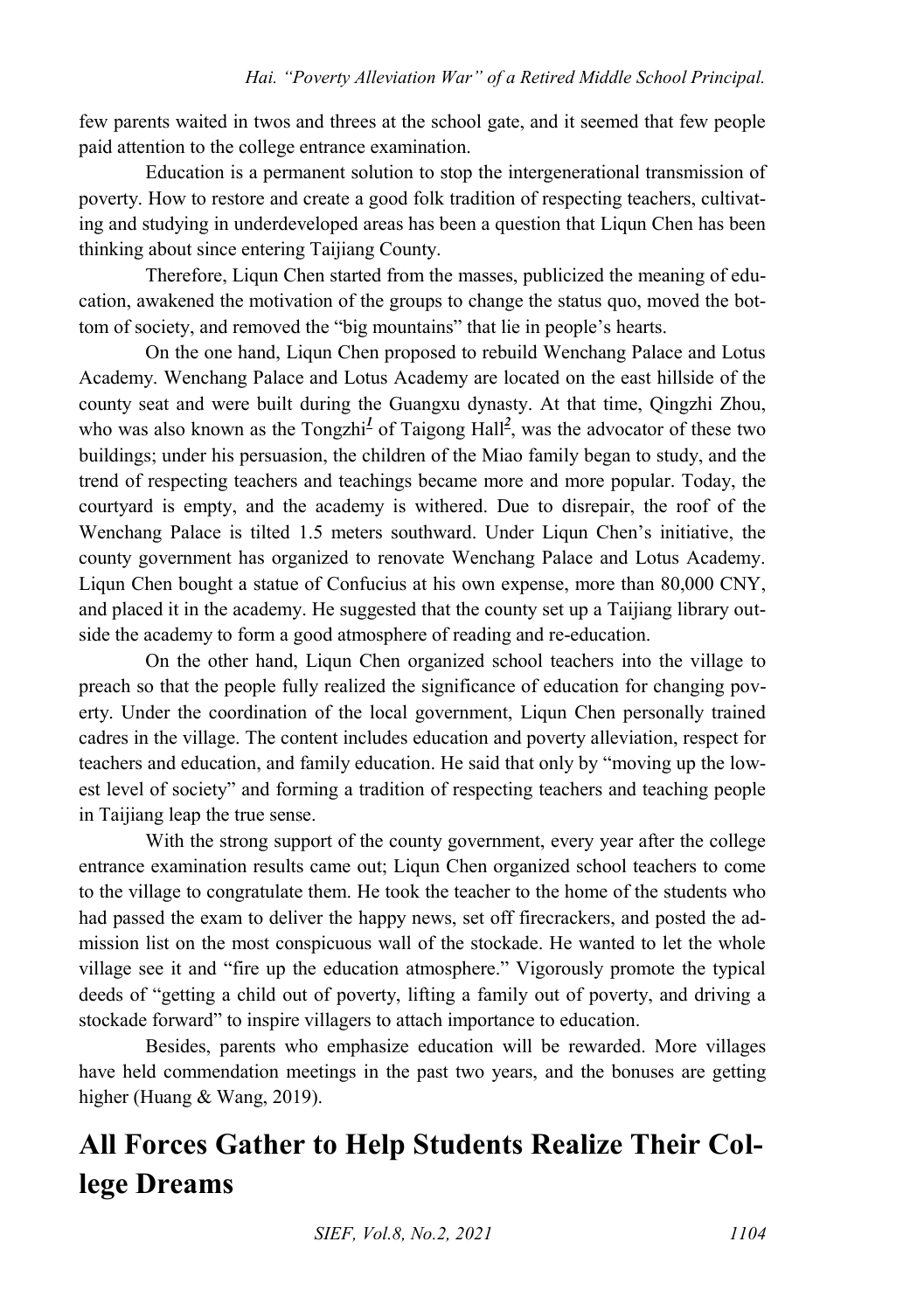few parents waited in twos and threes at the school gate, and it seemed that few people paid attention to the college entrance examination.

Education is a permanent solution to stop the intergenerational transmission of poverty. How to restore and create a good folk tradition of respecting teachers, cultivating and studying in underdeveloped areas has been a question that Liqun Chen has been thinking about since entering Taijiang County.

Therefore, Liqun Chen started from the masses, publicized the meaning of education, awakened the motivation of the groups to change the status quo, moved the bottom of society, and removed the "big mountains" that lie in people's hearts.

On the one hand, Liqun Chen proposed to rebuild Wenchang Palace and Lotus Academy. Wenchang Palace and Lotus Academy are located on the east hillside of the county seat and were built during the Guangxu dynasty. At that time, Qingzhi Zhou, whowas a[l](#page-9-1)so known as the Tongzhi<sup>1</sup> of Taigong Hall<sup>2</sup>, was the advocator of these two buildings; under his persuasion, the children of the Miao family began to study, and the trend of respecting teachers and teachings became more and more popular. Today, the courtyard is empty, and the academy is withered. Due to disrepair, the roof of the Wenchang Palace is tilted 1.5 meters southward. Under Liqun Chen's initiative, the county government has organized to renovate Wenchang Palace and Lotus Academy. Liqun Chen bought a statue of Confucius at his own expense, more than 80,000 CNY, and placed it in the academy. He suggested that the county set up a Taijiang library outside the academy to form a good atmosphere of reading and re-education.

On the other hand, Liqun Chen organized school teachers into the village to preach so that the people fully realized the significance of education for changing poverty. Under the coordination of the local government, Liqun Chen personally trained cadres in the village. The content includes education and poverty alleviation, respect for teachers and education, and family education. He said that only by "moving up the lowest level of society" and forming a tradition of respecting teachers and teaching people in Taijiang leap the true sense.

With the strong support of the county government, every year after the college entrance examination results came out; Liqun Chen organized school teachers to come to the village to congratulate them. He took the teacher to the home of the students who had passed the exam to deliver the happy news, set off firecrackers, and posted the admission list on the most conspicuous wall of the stockade. He wanted to let the whole village see it and "fire up the education atmosphere." Vigorously promote the typical deeds of "getting a child out of poverty, lifting a family out of poverty, and driving a stockade forward" to inspire villagers to attach importance to education.

Besides, parents who emphasize education will be rewarded. More villages have held commendation meetings in the past two years, and the bonuses are getting higher (Huang & Wang, 2019).

### **All Forces Gather to Help Students Realize Their College Dreams**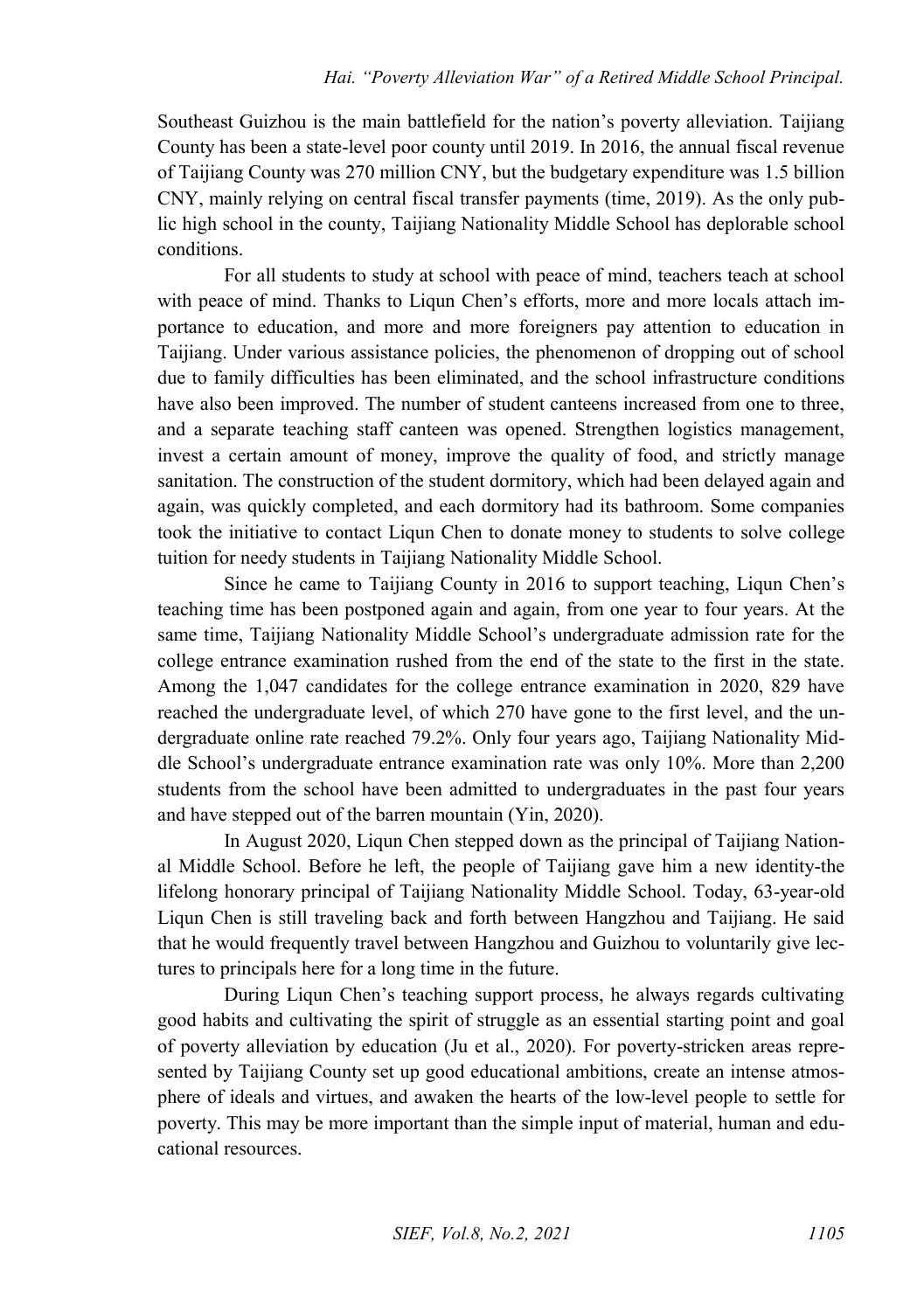Southeast Guizhou is the main battlefield for the nation's poverty alleviation. Taijiang County has been a state-level poor county until 2019. In 2016, the annual fiscal revenue of Taijiang County was 270 million CNY, but the budgetary expenditure was 1.5 billion CNY, mainly relying on central fiscal transfer payments (time, 2019). As the only public high school in the county, Taijiang Nationality Middle School has deplorable school conditions.

For all students to study at school with peace of mind, teachers teach at school with peace of mind. Thanks to Liqun Chen's efforts, more and more locals attach importance to education, and more and more foreigners pay attention to education in Taijiang. Under various assistance policies, the phenomenon of dropping out of school due to family difficulties has been eliminated, and the school infrastructure conditions have also been improved. The number of student canteens increased from one to three, and a separate teaching staff canteen was opened. Strengthen logistics management, invest a certain amount of money, improve the quality of food, and strictly manage sanitation. The construction of the student dormitory, which had been delayed again and again, was quickly completed, and each dormitory had its bathroom. Some companies took the initiative to contact Liqun Chen to donate money to students to solve college tuition for needy students in Taijiang Nationality Middle School.

Since he came to Taijiang County in 2016 to support teaching, Liqun Chen's teaching time has been postponed again and again, from one year to four years. At the same time, Taijiang Nationality Middle School's undergraduate admission rate for the college entrance examination rushed from the end of the state to the first in the state. Among the 1,047 candidates for the college entrance examination in 2020, 829 have reached the undergraduate level, of which 270 have gone to the first level, and the undergraduate online rate reached 79.2%. Only four years ago, Taijiang Nationality Middle School's undergraduate entrance examination rate was only 10%. More than 2,200 students from the school have been admitted to undergraduates in the past four years and have stepped out of the barren mountain (Yin, 2020).

In August 2020, Liqun Chen stepped down as the principal of Taijiang National Middle School. Before he left, the people of Taijiang gave him a new identity-the lifelong honorary principal of Taijiang Nationality Middle School. Today, 63-year-old Liqun Chen is still traveling back and forth between Hangzhou and Taijiang. He said that he would frequently travel between Hangzhou and Guizhou to voluntarily give lectures to principals here for a long time in the future.

During Liqun Chen's teaching support process, he always regards cultivating good habits and cultivating the spirit of struggle as an essential starting point and goal of poverty alleviation by education (Ju et al., 2020). For poverty-stricken areas represented by Taijiang County set up good educational ambitions, create an intense atmosphere of ideals and virtues, and awaken the hearts of the low-level people to settle for poverty. This may be more important than the simple input of material, human and educational resources.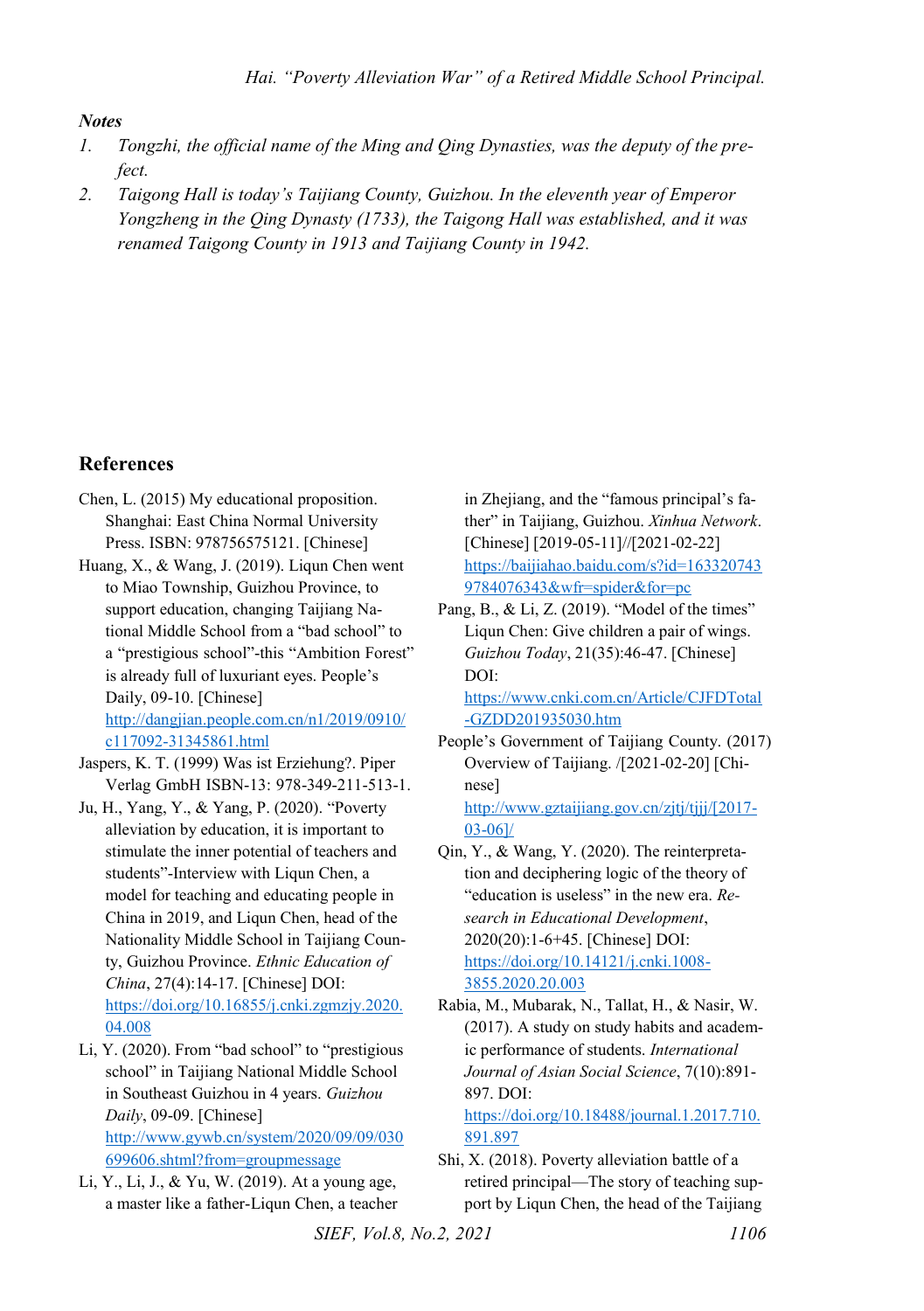#### *Notes*

- <span id="page-9-0"></span>*1. Tongzhi, the official name of the Ming and Qing Dynasties, was the deputy of the prefect.*
- <span id="page-9-1"></span>*2. Taigong Hall is today's Taijiang County, Guizhou. In the eleventh year of Emperor Yongzheng in the Qing Dynasty (1733), the Taigong Hall was established, and it was renamed Taigong County in 1913 and Taijiang County in 1942.*

#### **References**

- Chen, L. (2015) My educational proposition. Shanghai: East China Normal University Press. ISBN: 978756575121. [Chinese]
- Huang, X., & Wang, J. (2019). Liqun Chen went to Miao Township, Guizhou Province, to support education, changing Taijiang National Middle School from a "bad school" to a "prestigious school"-this "Ambition Forest" is already full of luxuriant eyes. People's Daily, 09-10. [Chinese] [http://dangjian.people.com.cn/n1/2019/0910/](http://dangjian.people.com.cn/n1/2019/0910/c117092-31345861.html)

[c117092-31345861.html](http://dangjian.people.com.cn/n1/2019/0910/c117092-31345861.html) 

- Jaspers, K. T. (1999) Was ist Erziehung?. Piper Verlag GmbH ISBN-13: 978-349-211-513-1.
- Ju, H., Yang, Y., & Yang, P. (2020). "Poverty alleviation by education, it is important to stimulate the inner potential of teachers and students"-Interview with Liqun Chen, a model for teaching and educating people in China in 2019, and Liqun Chen, head of the Nationality Middle School in Taijiang County, Guizhou Province. *Ethnic Education of China*, 27(4):14-17. [Chinese] DOI: [https://doi.org/10.16855/j.cnki.zgmzjy.2020.](https://doi.org/10.16855/j.cnki.zgmzjy.2020.04.008) 04.008
- Li, Y. (2020). From "bad school" to "prestigious school" in Taijiang National Middle School in Southeast Guizhou in 4 years. *Guizhou Daily*, 09-09. [Chinese] [http://www.gywb.cn/system/2020/09/09/030](http://www.gywb.cn/system/2020/09/09/030699606.shtml?from=groupmessage) [699606.shtml?from=groupmessage](http://www.gywb.cn/system/2020/09/09/030699606.shtml?from=groupmessage)
- Li, Y., Li, J., & Yu, W. (2019). At a young age, a master like a father-Liqun Chen, a teacher

in Zhejiang, and the "famous principal's father" in Taijiang, Guizhou. *Xinhua Network*. [Chinese] [2019-05-11]//[2021-02-22] [https://baijiahao.baidu.com/s?id=163320743](https://baijiahao.baidu.com/s?id=1633207439784076343&wfr=spider&for=pc) [9784076343&wfr=spider&for=pc](https://baijiahao.baidu.com/s?id=1633207439784076343&wfr=spider&for=pc)

Pang, B., & Li, Z. (2019). "Model of the times" Liqun Chen: Give children a pair of wings. *Guizhou Today*, 21(35):46-47. [Chinese] DOI:

[https://www.cnki.com.cn/Article/CJFDTotal](https://www.cnki.com.cn/Article/CJFDTotal-GZDD201935030.htm) [-GZDD201935030.htm](https://www.cnki.com.cn/Article/CJFDTotal-GZDD201935030.htm) 

People's Government of Taijiang County. (2017) Overview of Taijiang. /[2021-02-20] [Chinese]

[http://www.gztaijiang.gov.cn/zjtj/tjjj/\[2017-](http://www.gztaijiang.gov.cn/zjtj/tjjj/%5b2017-03-06%5d/) [03-06\]/](http://www.gztaijiang.gov.cn/zjtj/tjjj/%5b2017-03-06%5d/) 

- Qin, Y., & Wang, Y. (2020). The reinterpretation and deciphering logic of the theory of "education is useless" in the new era. *Research in Educational Development*, 2020(20):1-6+45. [Chinese] DOI: [https://doi.org/10.14121/j.cnki.1008-](https://doi.org/10.14121/j.cnki.1008-3855.2020.20.003) [3855.2020.20.003](https://doi.org/10.14121/j.cnki.1008-3855.2020.20.003)
- Rabia, M., Mubarak, N., Tallat, H., & Nasir, W. (2017). A study on study habits and academic performance of students. *International Journal of Asian Social Science*, 7(10):891- 897. DOI:

[https://doi.org/10.18488/journal.1.2017.710.](https://doi.org/10.18488/journal.1.2017.710.891.897) [891.897](https://doi.org/10.18488/journal.1.2017.710.891.897) 

Shi, X. (2018). Poverty alleviation battle of a retired principal—The story of teaching support by Liqun Chen, the head of the Taijiang

*SIEF, Vol.8, No.2, 2021* 1106